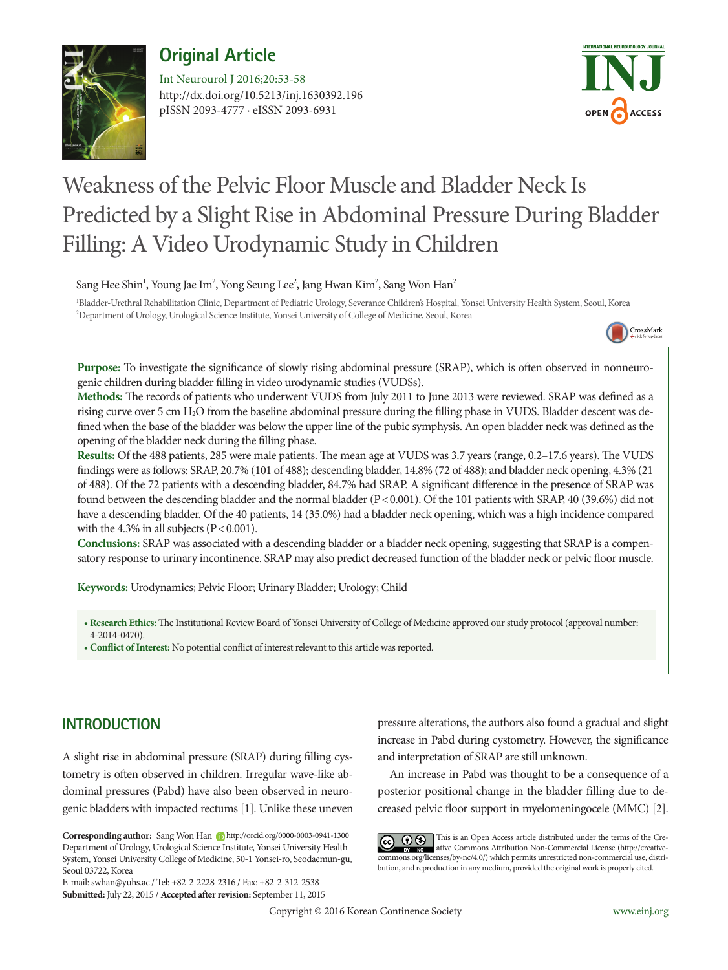## **Original Article**



http://dx.doi.org/10.5213/inj.1630392.196 pISSN 2093-4777 · eISSN 2093-6931 Int Neurourol J 2016;20:53-58



# Weakness of the Pelvic Floor Muscle and Bladder Neck Is Predicted by a Slight Rise in Abdominal Pressure During Bladder Filling: A Video Urodynamic Study in Children

Sang Hee Shin<sup>1</sup>, Young Jae Im<sup>2</sup>, Yong Seung Lee<sup>2</sup>, Jang Hwan Kim<sup>2</sup>, Sang Won Han<sup>2</sup>

1 Bladder-Urethral Rehabilitation Clinic, Department of Pediatric Urology, Severance Children's Hospital, Yonsei University Health System, Seoul, Korea 2 Department of Urology, Urological Science Institute, Yonsei University of College of Medicine, Seoul, Korea



**Purpose:** To investigate the significance of slowly rising abdominal pressure (SRAP), which is often observed in nonneurogenic children during bladder filling in video urodynamic studies (VUDSs).

**Methods:** The records of patients who underwent VUDS from July 2011 to June 2013 were reviewed. SRAP was defined as a rising curve over 5 cm H2O from the baseline abdominal pressure during the filling phase in VUDS. Bladder descent was defined when the base of the bladder was below the upper line of the pubic symphysis. An open bladder neck was defined as the opening of the bladder neck during the filling phase.

**Results:** Of the 488 patients, 285 were male patients. The mean age at VUDS was 3.7 years (range, 0.2–17.6 years). The VUDS findings were as follows: SRAP, 20.7% (101 of 488); descending bladder, 14.8% (72 of 488); and bladder neck opening, 4.3% (21 of 488). Of the 72 patients with a descending bladder, 84.7% had SRAP. A significant difference in the presence of SRAP was found between the descending bladder and the normal bladder (P<0.001). Of the 101 patients with SRAP, 40 (39.6%) did not have a descending bladder. Of the 40 patients, 14 (35.0%) had a bladder neck opening, which was a high incidence compared with the 4.3% in all subjects  $(P < 0.001)$ .

**Conclusions:** SRAP was associated with a descending bladder or a bladder neck opening, suggesting that SRAP is a compensatory response to urinary incontinence. SRAP may also predict decreased function of the bladder neck or pelvic floor muscle.

**Keywords:** Urodynamics; Pelvic Floor; Urinary Bladder; Urology; Child

**• Research Ethics:** The Institutional Review Board of Yonsei University of College of Medicine approved our study protocol (approval number: 4-2014-0470).

**• Conflict of Interest:** No potential conflict of interest relevant to this article was reported.

## **INTRODUCTION**

A slight rise in abdominal pressure (SRAP) during filling cystometry is often observed in children. Irregular wave-like abdominal pressures (Pabd) have also been observed in neurogenic bladders with impacted rectums [1]. Unlike these uneven

E-mail: swhan@yuhs.ac / Tel: +82-2-2228-2316 / Fax: +82-2-312-2538 **Submitted:** July 22, 2015 / **Accepted after revision:** September 11, 2015

pressure alterations, the authors also found a gradual and slight increase in Pabd during cystometry. However, the significance and interpretation of SRAP are still unknown.

An increase in Pabd was thought to be a consequence of a posterior positional change in the bladder filling due to decreased pelvic floor support in myelomeningocele (MMC) [2].

GC  $\bigcirc$  This is an Open Access article distributed under the terms of the Creative Commons Attribution Non-Commercial License (http://creativecommons.org/licenses/by-nc/4.0/) which permits unrestricted non-commercial use, distribution, and reproduction in any medium, provided the original work is properly cited.

Corresponding author: Sang Won Han **b** http://orcid.org/0000-0003-0941-1300 Department of Urology, Urological Science Institute, Yonsei University Health System, Yonsei University College of Medicine, 50-1 Yonsei-ro, Seodaemun-gu, Seoul 03722, Korea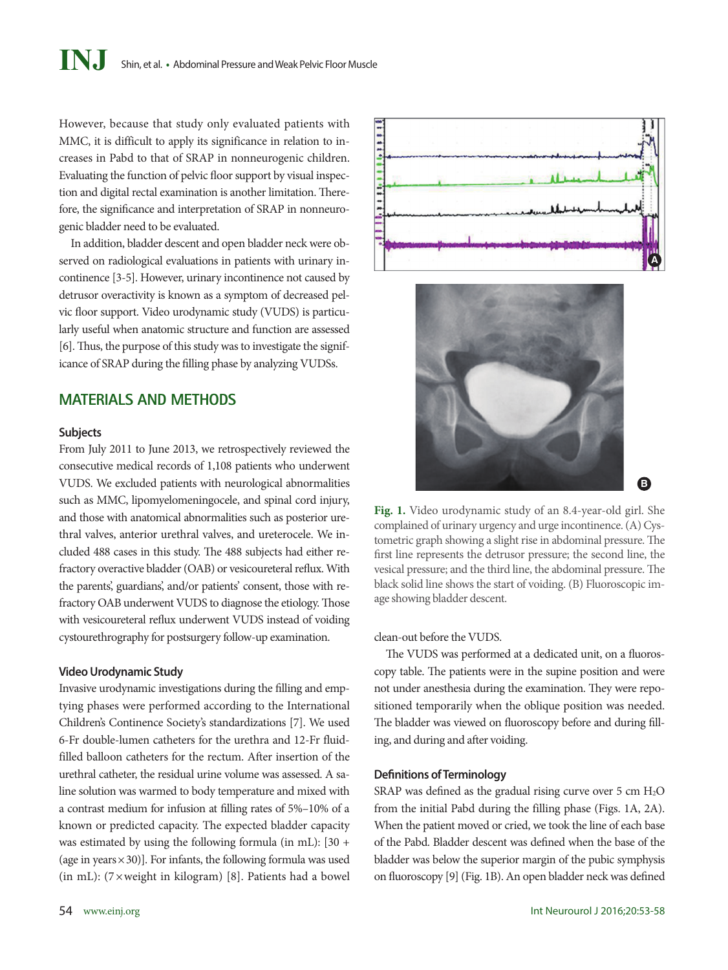However, because that study only evaluated patients with MMC, it is difficult to apply its significance in relation to increases in Pabd to that of SRAP in nonneurogenic children. Evaluating the function of pelvic floor support by visual inspection and digital rectal examination is another limitation. Therefore, the significance and interpretation of SRAP in nonneurogenic bladder need to be evaluated.

In addition, bladder descent and open bladder neck were observed on radiological evaluations in patients with urinary incontinence [3-5]. However, urinary incontinence not caused by detrusor overactivity is known as a symptom of decreased pelvic floor support. Video urodynamic study (VUDS) is particularly useful when anatomic structure and function are assessed [6]. Thus, the purpose of this study was to investigate the significance of SRAP during the filling phase by analyzing VUDSs.

## **MATERIALS AND METHODS**

#### **Subjects**

From July 2011 to June 2013, we retrospectively reviewed the consecutive medical records of 1,108 patients who underwent VUDS. We excluded patients with neurological abnormalities such as MMC, lipomyelomeningocele, and spinal cord injury, and those with anatomical abnormalities such as posterior urethral valves, anterior urethral valves, and ureterocele. We included 488 cases in this study. The 488 subjects had either refractory overactive bladder (OAB) or vesicoureteral reflux. With the parents', guardians', and/or patients' consent, those with refractory OAB underwent VUDS to diagnose the etiology. Those with vesicoureteral reflux underwent VUDS instead of voiding cystourethrography for postsurgery follow-up examination.

#### **Video Urodynamic Study**

Invasive urodynamic investigations during the filling and emptying phases were performed according to the International Children's Continence Society's standardizations [7]. We used 6-Fr double-lumen catheters for the urethra and 12-Fr fluidfilled balloon catheters for the rectum. After insertion of the urethral catheter, the residual urine volume was assessed. A saline solution was warmed to body temperature and mixed with a contrast medium for infusion at filling rates of 5%–10% of a known or predicted capacity. The expected bladder capacity was estimated by using the following formula (in mL): [30 + (age in years  $\times$  30)]. For infants, the following formula was used (in mL):  $(7 \times \text{weight in kilogram})$  [8]. Patients had a bowel





**Fig. 1.** Video urodynamic study of an 8.4-year-old girl. She complained of urinary urgency and urge incontinence. (A) Cystometric graph showing a slight rise in abdominal pressure. The first line represents the detrusor pressure; the second line, the vesical pressure; and the third line, the abdominal pressure. The black solid line shows the start of voiding. (B) Fluoroscopic image showing bladder descent.

#### clean-out before the VUDS.

The VUDS was performed at a dedicated unit, on a fluoroscopy table. The patients were in the supine position and were not under anesthesia during the examination. They were repositioned temporarily when the oblique position was needed. The bladder was viewed on fluoroscopy before and during filling, and during and after voiding.

#### **Definitions of Terminology**

SRAP was defined as the gradual rising curve over 5 cm  $H<sub>2</sub>O$ from the initial Pabd during the filling phase (Figs. 1A, 2A). When the patient moved or cried, we took the line of each base of the Pabd. Bladder descent was defined when the base of the bladder was below the superior margin of the pubic symphysis on fluoroscopy [9] (Fig. 1B). An open bladder neck was defined

**B**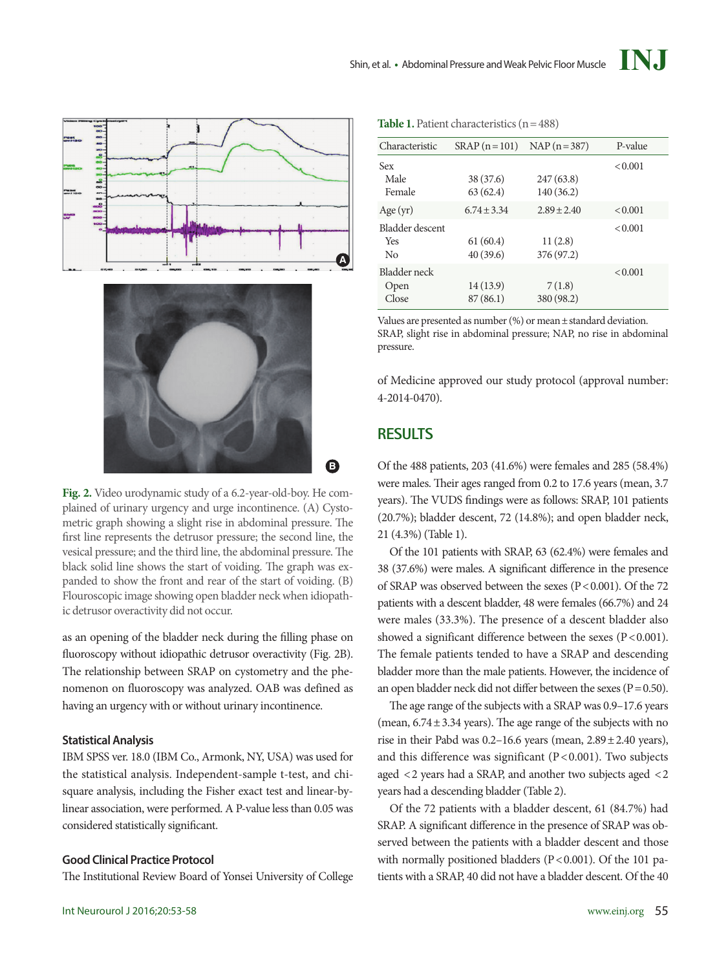Table 1. Patient characteristics (n=488)



**Fig. 2.** Video urodynamic study of a 6.2-year-old-boy. He complained of urinary urgency and urge incontinence. (A) Cystometric graph showing a slight rise in abdominal pressure. The first line represents the detrusor pressure; the second line, the vesical pressure; and the third line, the abdominal pressure. The black solid line shows the start of voiding. The graph was expanded to show the front and rear of the start of voiding. (B) Flouroscopic image showing open bladder neck when idiopathic detrusor overactivity did not occur.

as an opening of the bladder neck during the filling phase on fluoroscopy without idiopathic detrusor overactivity (Fig. 2B). The relationship between SRAP on cystometry and the phenomenon on fluoroscopy was analyzed. OAB was defined as having an urgency with or without urinary incontinence.

#### **Statistical Analysis**

IBM SPSS ver. 18.0 (IBM Co., Armonk, NY, USA) was used for the statistical analysis. Independent-sample t-test, and chisquare analysis, including the Fisher exact test and linear-bylinear association, were performed. A P-value less than 0.05 was considered statistically significant.

#### **Good Clinical Practice Protocol**

The Institutional Review Board of Yonsei University of College

| Characteristic                | $SRAP(n=101)$         | $NAP(n=387)$           | P-value |
|-------------------------------|-----------------------|------------------------|---------|
| Sex<br>Male<br>Female         | 38 (37.6)<br>63(62.4) | 247(63.8)<br>140(36.2) | < 0.001 |
| Age(yr)                       | $6.74 \pm 3.34$       | $2.89 \pm 2.40$        | < 0.001 |
| Bladder descent<br>Yes<br>No  | 61(60.4)<br>40(39.6)  | 11(2.8)<br>376 (97.2)  | < 0.001 |
| Bladder neck<br>Open<br>Close | 14 (13.9)<br>87(86.1) | 7(1.8)<br>380 (98.2)   | < 0.001 |

Values are presented as number  $(\%)$  or mean  $\pm$  standard deviation. SRAP, slight rise in abdominal pressure; NAP, no rise in abdominal pressure.

of Medicine approved our study protocol (approval number: 4-2014-0470).

## **RESULTS**

Of the 488 patients, 203 (41.6%) were females and 285 (58.4%) were males. Their ages ranged from 0.2 to 17.6 years (mean, 3.7 years). The VUDS findings were as follows: SRAP, 101 patients (20.7%); bladder descent, 72 (14.8%); and open bladder neck, 21 (4.3%) (Table 1).

Of the 101 patients with SRAP, 63 (62.4%) were females and 38 (37.6%) were males. A significant difference in the presence of SRAP was observed between the sexes ( $P < 0.001$ ). Of the 72 patients with a descent bladder, 48 were females (66.7%) and 24 were males (33.3%). The presence of a descent bladder also showed a significant difference between the sexes  $(P < 0.001)$ . The female patients tended to have a SRAP and descending bladder more than the male patients. However, the incidence of an open bladder neck did not differ between the sexes ( $P=0.50$ ).

The age range of the subjects with a SRAP was 0.9–17.6 years (mean,  $6.74 \pm 3.34$  years). The age range of the subjects with no rise in their Pabd was  $0.2-16.6$  years (mean,  $2.89 \pm 2.40$  years), and this difference was significant  $(P < 0.001)$ . Two subjects aged <2 years had a SRAP, and another two subjects aged <2 years had a descending bladder (Table 2).

Of the 72 patients with a bladder descent, 61 (84.7%) had SRAP. A significant difference in the presence of SRAP was observed between the patients with a bladder descent and those with normally positioned bladders ( $P < 0.001$ ). Of the 101 patients with a SRAP, 40 did not have a bladder descent. Of the 40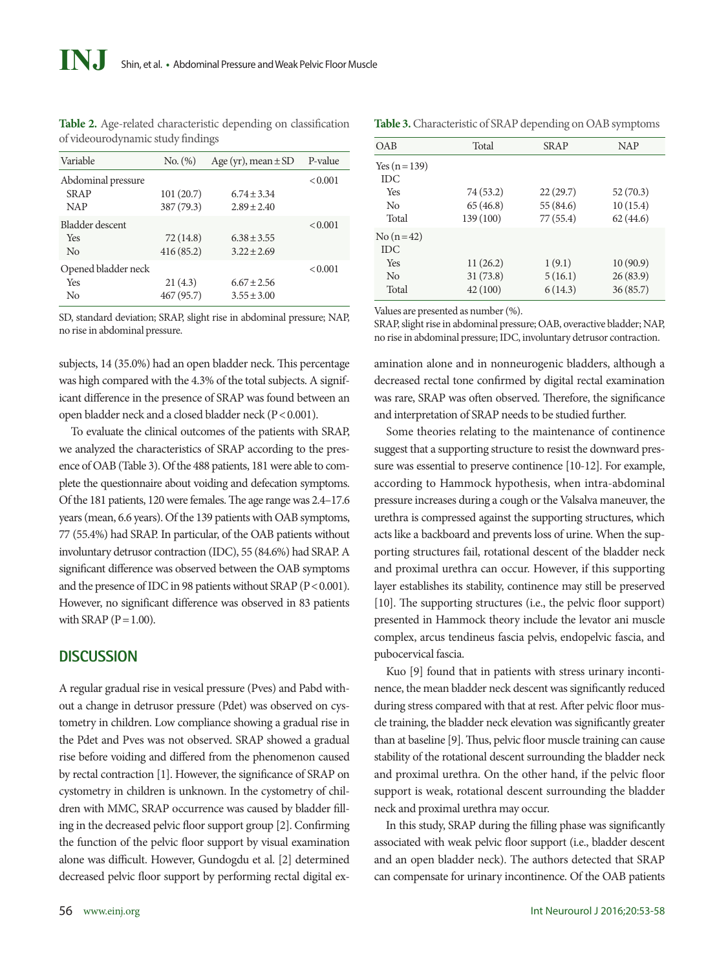| Variable            | No. (%)    | Age (yr), mean $\pm$ SD | P-value |
|---------------------|------------|-------------------------|---------|
| Abdominal pressure  |            |                         | < 0.001 |
| <b>SRAP</b>         | 101(20.7)  | $6.74 + 3.34$           |         |
| <b>NAP</b>          | 387 (79.3) | $2.89 \pm 2.40$         |         |
| Bladder descent     |            |                         | < 0.001 |
| Yes                 | 72 (14.8)  | $6.38 \pm 3.55$         |         |
| No                  | 416(85.2)  | $3.22 \pm 2.69$         |         |
| Opened bladder neck |            |                         | < 0.001 |
| Yes                 | 21(4.3)    | $6.67 \pm 2.56$         |         |
| No                  | 467 (95.7) | $3.55 \pm 3.00$         |         |

**Table 2.** Age-related characteristic depending on classification of videourodynamic study findings

SD, standard deviation; SRAP, slight rise in abdominal pressure; NAP, no rise in abdominal pressure.

subjects, 14 (35.0%) had an open bladder neck. This percentage was high compared with the 4.3% of the total subjects. A significant difference in the presence of SRAP was found between an open bladder neck and a closed bladder neck (P < 0.001).

To evaluate the clinical outcomes of the patients with SRAP, we analyzed the characteristics of SRAP according to the presence of OAB (Table 3). Of the 488 patients, 181 were able to complete the questionnaire about voiding and defecation symptoms. Of the 181 patients, 120 were females. The age range was 2.4–17.6 years (mean, 6.6 years). Of the 139 patients with OAB symptoms, 77 (55.4%) had SRAP. In particular, of the OAB patients without involuntary detrusor contraction (IDC), 55 (84.6%) had SRAP. A significant difference was observed between the OAB symptoms and the presence of IDC in 98 patients without SRAP ( $P < 0.001$ ). However, no significant difference was observed in 83 patients with SRAP  $(P=1.00)$ .

#### **DISCUSSION**

A regular gradual rise in vesical pressure (Pves) and Pabd without a change in detrusor pressure (Pdet) was observed on cystometry in children. Low compliance showing a gradual rise in the Pdet and Pves was not observed. SRAP showed a gradual rise before voiding and differed from the phenomenon caused by rectal contraction [1]. However, the significance of SRAP on cystometry in children is unknown. In the cystometry of children with MMC, SRAP occurrence was caused by bladder filling in the decreased pelvic floor support group [2]. Confirming the function of the pelvic floor support by visual examination alone was difficult. However, Gundogdu et al. [2] determined decreased pelvic floor support by performing rectal digital ex-

**Table 3.** Characteristic of SRAP depending on OAB symptoms

| <b>OAB</b>      | Total     | <b>SRAP</b> | <b>NAP</b> |
|-----------------|-----------|-------------|------------|
| Yes $(n = 139)$ |           |             |            |
| <b>IDC</b>      |           |             |            |
| Yes             | 74 (53.2) | 22(29.7)    | 52(70.3)   |
| No              | 65(46.8)  | 55(84.6)    | 10(15.4)   |
| Total           | 139 (100) | 77(55.4)    | 62(44.6)   |
| $No(n=42)$      |           |             |            |
| <b>IDC</b>      |           |             |            |
| Yes             | 11(26.2)  | 1(9.1)      | 10(90.9)   |
| N <sub>0</sub>  | 31(73.8)  | 5(16.1)     | 26(83.9)   |
| Total           | 42(100)   | 6(14.3)     | 36(85.7)   |
|                 |           |             |            |

Values are presented as number (%).

SRAP, slight rise in abdominal pressure; OAB, overactive bladder; NAP, no rise in abdominal pressure; IDC, involuntary detrusor contraction.

amination alone and in nonneurogenic bladders, although a decreased rectal tone confirmed by digital rectal examination was rare, SRAP was often observed. Therefore, the significance and interpretation of SRAP needs to be studied further.

Some theories relating to the maintenance of continence suggest that a supporting structure to resist the downward pressure was essential to preserve continence [10-12]. For example, according to Hammock hypothesis, when intra-abdominal pressure increases during a cough or the Valsalva maneuver, the urethra is compressed against the supporting structures, which acts like a backboard and prevents loss of urine. When the supporting structures fail, rotational descent of the bladder neck and proximal urethra can occur. However, if this supporting layer establishes its stability, continence may still be preserved [10]. The supporting structures (i.e., the pelvic floor support) presented in Hammock theory include the levator ani muscle complex, arcus tendineus fascia pelvis, endopelvic fascia, and pubocervical fascia.

Kuo [9] found that in patients with stress urinary incontinence, the mean bladder neck descent was significantly reduced during stress compared with that at rest. After pelvic floor muscle training, the bladder neck elevation was significantly greater than at baseline [9]. Thus, pelvic floor muscle training can cause stability of the rotational descent surrounding the bladder neck and proximal urethra. On the other hand, if the pelvic floor support is weak, rotational descent surrounding the bladder neck and proximal urethra may occur.

In this study, SRAP during the filling phase was significantly associated with weak pelvic floor support (i.e., bladder descent and an open bladder neck). The authors detected that SRAP can compensate for urinary incontinence. Of the OAB patients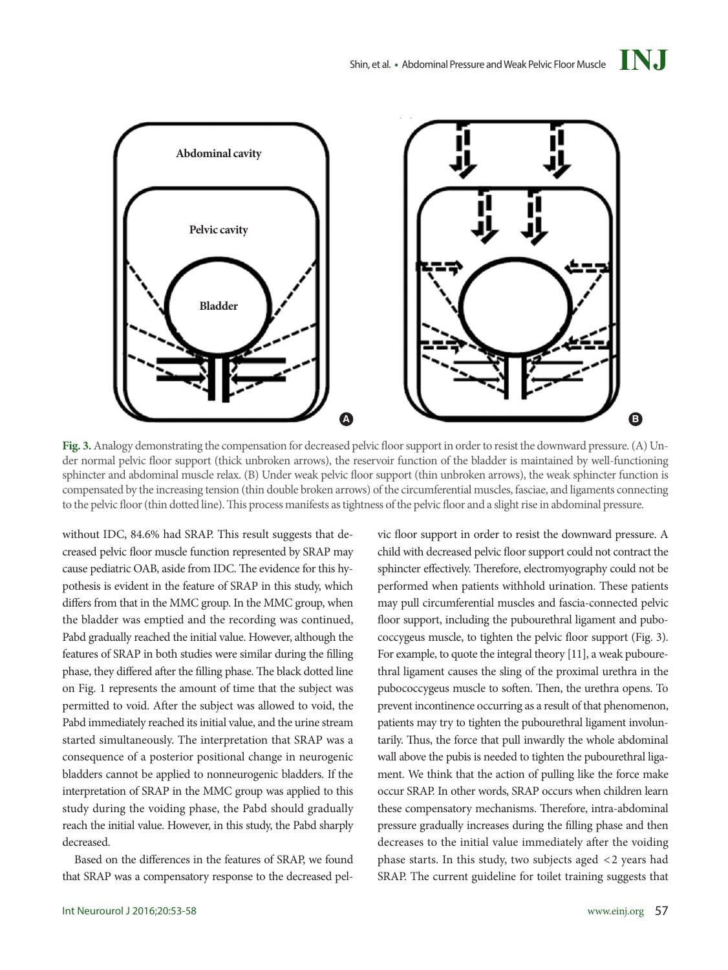

**Fig. 3.** Analogy demonstrating the compensation for decreased pelvic floor support in order to resist the downward pressure. (A) Under normal pelvic floor support (thick unbroken arrows), the reservoir function of the bladder is maintained by well-functioning sphincter and abdominal muscle relax. (B) Under weak pelvic floor support (thin unbroken arrows), the weak sphincter function is compensated by the increasing tension (thin double broken arrows) of the circumferential muscles, fasciae, and ligaments connecting to the pelvic floor (thin dotted line). This process manifests as tightness of the pelvic floor and a slight rise in abdominal pressure.

without IDC, 84.6% had SRAP. This result suggests that decreased pelvic floor muscle function represented by SRAP may cause pediatric OAB, aside from IDC. The evidence for this hypothesis is evident in the feature of SRAP in this study, which differs from that in the MMC group. In the MMC group, when the bladder was emptied and the recording was continued, Pabd gradually reached the initial value. However, although the features of SRAP in both studies were similar during the filling phase, they differed after the filling phase. The black dotted line on Fig. 1 represents the amount of time that the subject was permitted to void. After the subject was allowed to void, the Pabd immediately reached its initial value, and the urine stream started simultaneously. The interpretation that SRAP was a consequence of a posterior positional change in neurogenic bladders cannot be applied to nonneurogenic bladders. If the interpretation of SRAP in the MMC group was applied to this study during the voiding phase, the Pabd should gradually reach the initial value. However, in this study, the Pabd sharply decreased.

Based on the differences in the features of SRAP, we found that SRAP was a compensatory response to the decreased pelvic floor support in order to resist the downward pressure. A child with decreased pelvic floor support could not contract the sphincter effectively. Therefore, electromyography could not be performed when patients withhold urination. These patients may pull circumferential muscles and fascia-connected pelvic floor support, including the pubourethral ligament and pubococcygeus muscle, to tighten the pelvic floor support (Fig. 3). For example, to quote the integral theory [11], a weak pubourethral ligament causes the sling of the proximal urethra in the pubococcygeus muscle to soften. Then, the urethra opens. To prevent incontinence occurring as a result of that phenomenon, patients may try to tighten the pubourethral ligament involuntarily. Thus, the force that pull inwardly the whole abdominal wall above the pubis is needed to tighten the pubourethral ligament. We think that the action of pulling like the force make occur SRAP. In other words, SRAP occurs when children learn these compensatory mechanisms. Therefore, intra-abdominal pressure gradually increases during the filling phase and then decreases to the initial value immediately after the voiding phase starts. In this study, two subjects aged <2 years had SRAP. The current guideline for toilet training suggests that